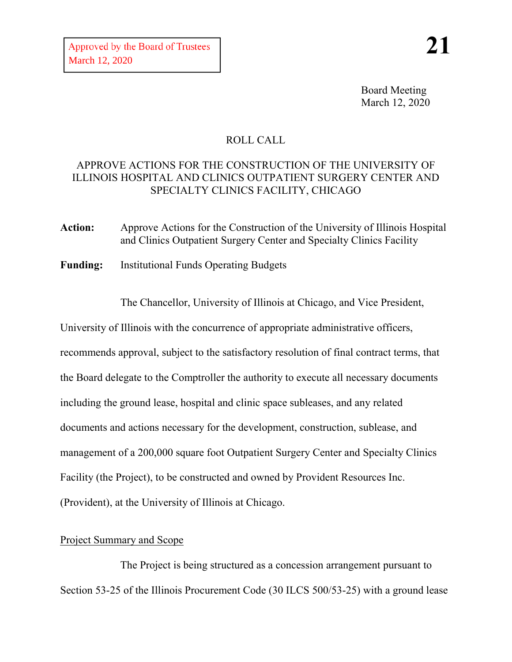Board Meeting March 12, 2020

# ROLL CALL

## APPROVE ACTIONS FOR THE CONSTRUCTION OF THE UNIVERSITY OF ILLINOIS HOSPITAL AND CLINICS OUTPATIENT SURGERY CENTER AND SPECIALTY CLINICS FACILITY, CHICAGO

- **Action:** Approve Actions for the Construction of the University of Illinois Hospital and Clinics Outpatient Surgery Center and Specialty Clinics Facility
- **Funding:** Institutional Funds Operating Budgets

The Chancellor, University of Illinois at Chicago, and Vice President,

University of Illinois with the concurrence of appropriate administrative officers, recommends approval, subject to the satisfactory resolution of final contract terms, that the Board delegate to the Comptroller the authority to execute all necessary documents including the ground lease, hospital and clinic space subleases, and any related documents and actions necessary for the development, construction, sublease, and management of a 200,000 square foot Outpatient Surgery Center and Specialty Clinics Facility (the Project), to be constructed and owned by Provident Resources Inc. (Provident), at the University of Illinois at Chicago.

### Project Summary and Scope

The Project is being structured as a concession arrangement pursuant to Section 53-25 of the Illinois Procurement Code (30 ILCS 500/53-25) with a ground lease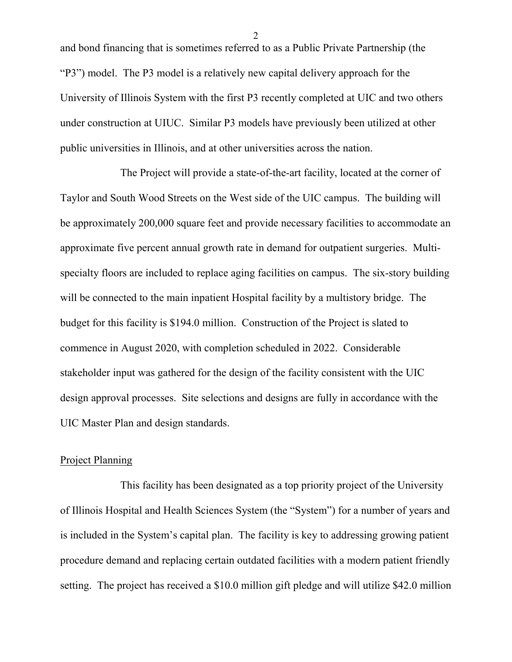and bond financing that is sometimes referred to as a Public Private Partnership (the "P3") model. The P3 model is a relatively new capital delivery approach for the University of Illinois System with the first P3 recently completed at UIC and two others under construction at UIUC. Similar P3 models have previously been utilized at other public universities in Illinois, and at other universities across the nation.

The Project will provide a state-of-the-art facility, located at the corner of Taylor and South Wood Streets on the West side of the UIC campus. The building will be approximately 200,000 square feet and provide necessary facilities to accommodate an approximate five percent annual growth rate in demand for outpatient surgeries. Multispecialty floors are included to replace aging facilities on campus. The six-story building will be connected to the main inpatient Hospital facility by a multistory bridge. The budget for this facility is \$194.0 million. Construction of the Project is slated to commence in August 2020, with completion scheduled in 2022. Considerable stakeholder input was gathered for the design of the facility consistent with the UIC design approval processes. Site selections and designs are fully in accordance with the UIC Master Plan and design standards.

#### Project Planning

This facility has been designated as a top priority project of the University of Illinois Hospital and Health Sciences System (the "System") for a number of years and is included in the System's capital plan. The facility is key to addressing growing patient procedure demand and replacing certain outdated facilities with a modern patient friendly setting. The project has received a \$10.0 million gift pledge and will utilize \$42.0 million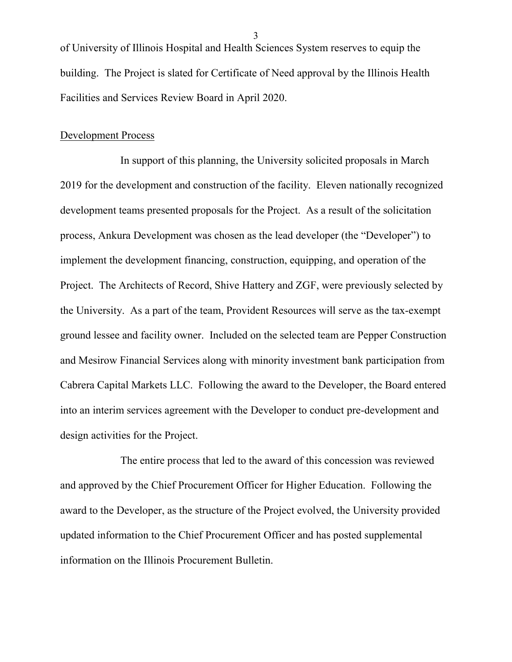of University of Illinois Hospital and Health Sciences System reserves to equip the building. The Project is slated for Certificate of Need approval by the Illinois Health Facilities and Services Review Board in April 2020.

#### Development Process

In support of this planning, the University solicited proposals in March 2019 for the development and construction of the facility. Eleven nationally recognized development teams presented proposals for the Project. As a result of the solicitation process, Ankura Development was chosen as the lead developer (the "Developer") to implement the development financing, construction, equipping, and operation of the Project. The Architects of Record, Shive Hattery and ZGF, were previously selected by the University. As a part of the team, Provident Resources will serve as the tax-exempt ground lessee and facility owner. Included on the selected team are Pepper Construction and Mesirow Financial Services along with minority investment bank participation from Cabrera Capital Markets LLC. Following the award to the Developer, the Board entered into an interim services agreement with the Developer to conduct pre-development and design activities for the Project.

The entire process that led to the award of this concession was reviewed and approved by the Chief Procurement Officer for Higher Education. Following the award to the Developer, as the structure of the Project evolved, the University provided updated information to the Chief Procurement Officer and has posted supplemental information on the Illinois Procurement Bulletin.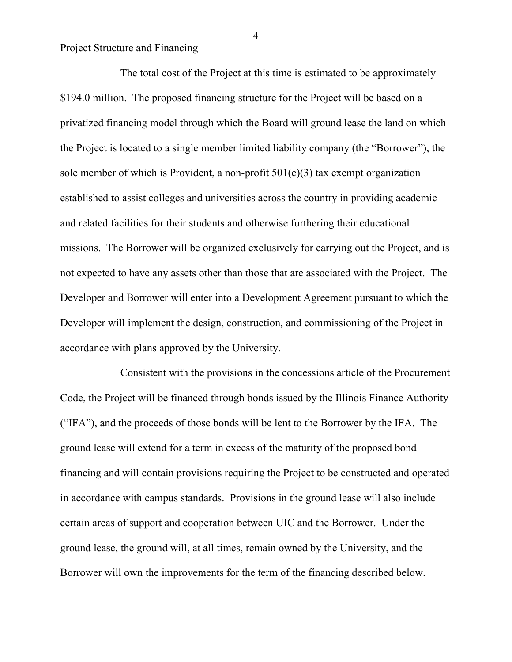#### Project Structure and Financing

The total cost of the Project at this time is estimated to be approximately \$194.0 million. The proposed financing structure for the Project will be based on a privatized financing model through which the Board will ground lease the land on which the Project is located to a single member limited liability company (the "Borrower"), the sole member of which is Provident, a non-profit  $501(c)(3)$  tax exempt organization established to assist colleges and universities across the country in providing academic and related facilities for their students and otherwise furthering their educational missions. The Borrower will be organized exclusively for carrying out the Project, and is not expected to have any assets other than those that are associated with the Project. The Developer and Borrower will enter into a Development Agreement pursuant to which the Developer will implement the design, construction, and commissioning of the Project in accordance with plans approved by the University.

Consistent with the provisions in the concessions article of the Procurement Code, the Project will be financed through bonds issued by the Illinois Finance Authority ("IFA"), and the proceeds of those bonds will be lent to the Borrower by the IFA. The ground lease will extend for a term in excess of the maturity of the proposed bond financing and will contain provisions requiring the Project to be constructed and operated in accordance with campus standards. Provisions in the ground lease will also include certain areas of support and cooperation between UIC and the Borrower. Under the ground lease, the ground will, at all times, remain owned by the University, and the Borrower will own the improvements for the term of the financing described below.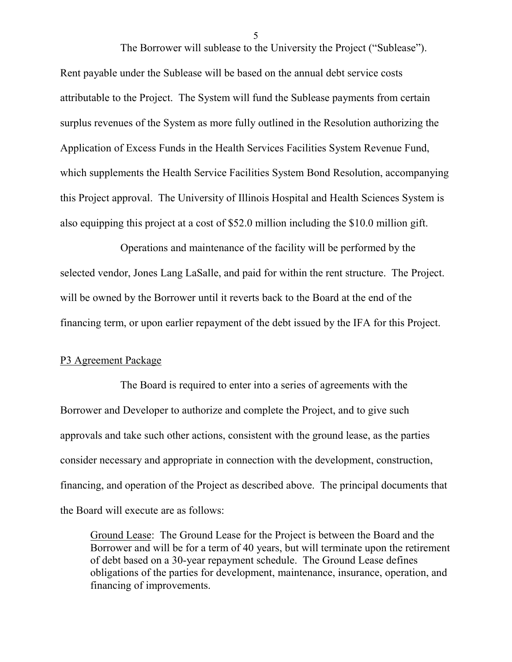The Borrower will sublease to the University the Project ("Sublease").

Rent payable under the Sublease will be based on the annual debt service costs attributable to the Project. The System will fund the Sublease payments from certain surplus revenues of the System as more fully outlined in the Resolution authorizing the Application of Excess Funds in the Health Services Facilities System Revenue Fund, which supplements the Health Service Facilities System Bond Resolution, accompanying this Project approval. The University of Illinois Hospital and Health Sciences System is also equipping this project at a cost of \$52.0 million including the \$10.0 million gift.

Operations and maintenance of the facility will be performed by the selected vendor, Jones Lang LaSalle, and paid for within the rent structure. The Project. will be owned by the Borrower until it reverts back to the Board at the end of the financing term, or upon earlier repayment of the debt issued by the IFA for this Project.

#### P3 Agreement Package

The Board is required to enter into a series of agreements with the Borrower and Developer to authorize and complete the Project, and to give such approvals and take such other actions, consistent with the ground lease, as the parties consider necessary and appropriate in connection with the development, construction, financing, and operation of the Project as described above. The principal documents that the Board will execute are as follows:

Ground Lease: The Ground Lease for the Project is between the Board and the Borrower and will be for a term of 40 years, but will terminate upon the retirement of debt based on a 30-year repayment schedule. The Ground Lease defines obligations of the parties for development, maintenance, insurance, operation, and financing of improvements.